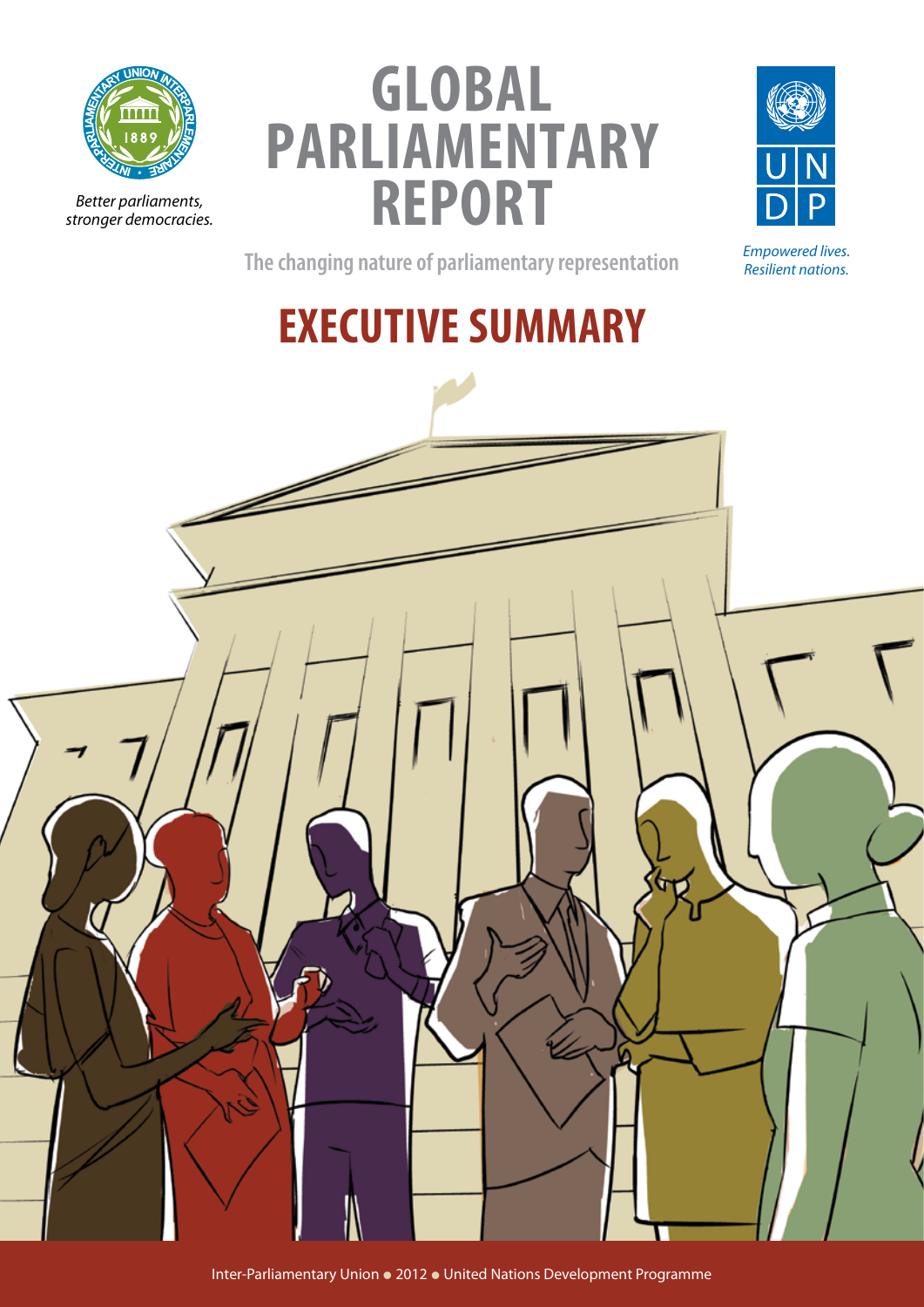

*Better parliaments, stronger democracies.*

# **global parliamentary report**



*Empowered lives. Resilient nations.*

**The changing nature of parliamentary representation**

**EXECUTIVE SUMMARY**

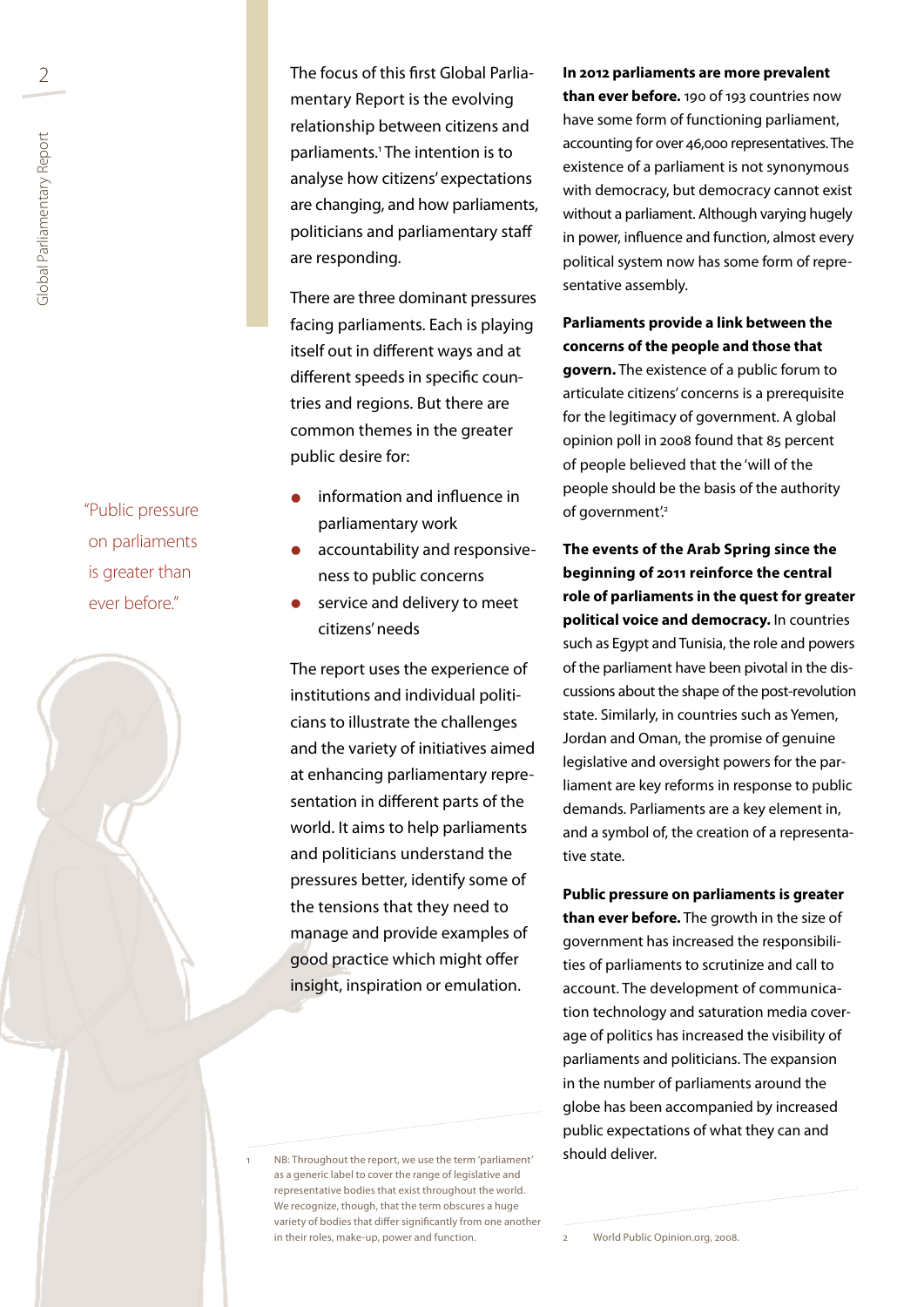"Public pressure on parliaments is greater than ever before."

2 **In 2012 parameter 12 In 2012 parliaments are more prevalent** The focus of this first Global Parliamentary Report is the evolving relationship between citizens and parliaments.<sup>1</sup> The intention is to analyse how citizens' expectations are changing, and how parliaments, politicians and parliamentary staff are responding.

> There are three dominant pressures facing parliaments. Each is playing itself out in different ways and at different speeds in specific countries and regions. But there are common themes in the greater public desire for:

- information and influence in parliamentary work
- accountability and responsiveness to public concerns
- service and delivery to meet citizens' needs

The report uses the experience of institutions and individual politicians to illustrate the challenges and the variety of initiatives aimed at enhancing parliamentary representation in different parts of the world. It aims to help parliaments and politicians understand the pressures better, identify some of the tensions that they need to manage and provide examples of good practice which might offer insight, inspiration or emulation.

**than ever before.** 190 of 193 countries now have some form of functioning parliament, accounting for over 46,000 representatives. The existence of a parliament is not synonymous with democracy, but democracy cannot exist without a parliament. Although varying hugely in power, influence and function, almost every political system now has some form of representative assembly.

#### **Parliaments provide a link between the concerns of the people and those that**

**govern.** The existence of a public forum to articulate citizens' concerns is a prerequisite for the legitimacy of government. A global opinion poll in 2008 found that 85 percent of people believed that the 'will of the people should be the basis of the authority of government'.<sup>2</sup>

**The events of the Arab Spring since the beginning of 2011 reinforce the central role of parliaments in the quest for greater political voice and democracy.** In countries such as Egypt and Tunisia, the role and powers of the parliament have been pivotal in the discussions about the shape of the post-revolution state. Similarly, in countries such as Yemen, Jordan and Oman, the promise of genuine legislative and oversight powers for the parliament are key reforms in response to public demands. Parliaments are a key element in, and a symbol of, the creation of a representative state.

**Public pressure on parliaments is greater than ever before.** The growth in the size of government has increased the responsibilities of parliaments to scrutinize and call to account. The development of communication technology and saturation media coverage of politics has increased the visibility of parliaments and politicians. The expansion in the number of parliaments around the globe has been accompanied by increased public expectations of what they can and should deliver.

NB: Throughout the report, we use the term 'parliament' as a generic label to cover the range of legislative and representative bodies that exist throughout the world. We recognize, though, that the term obscures a huge variety of bodies that differ significantly from one another in their roles, make-up, power and function.

World Public Opinion.org, 2008.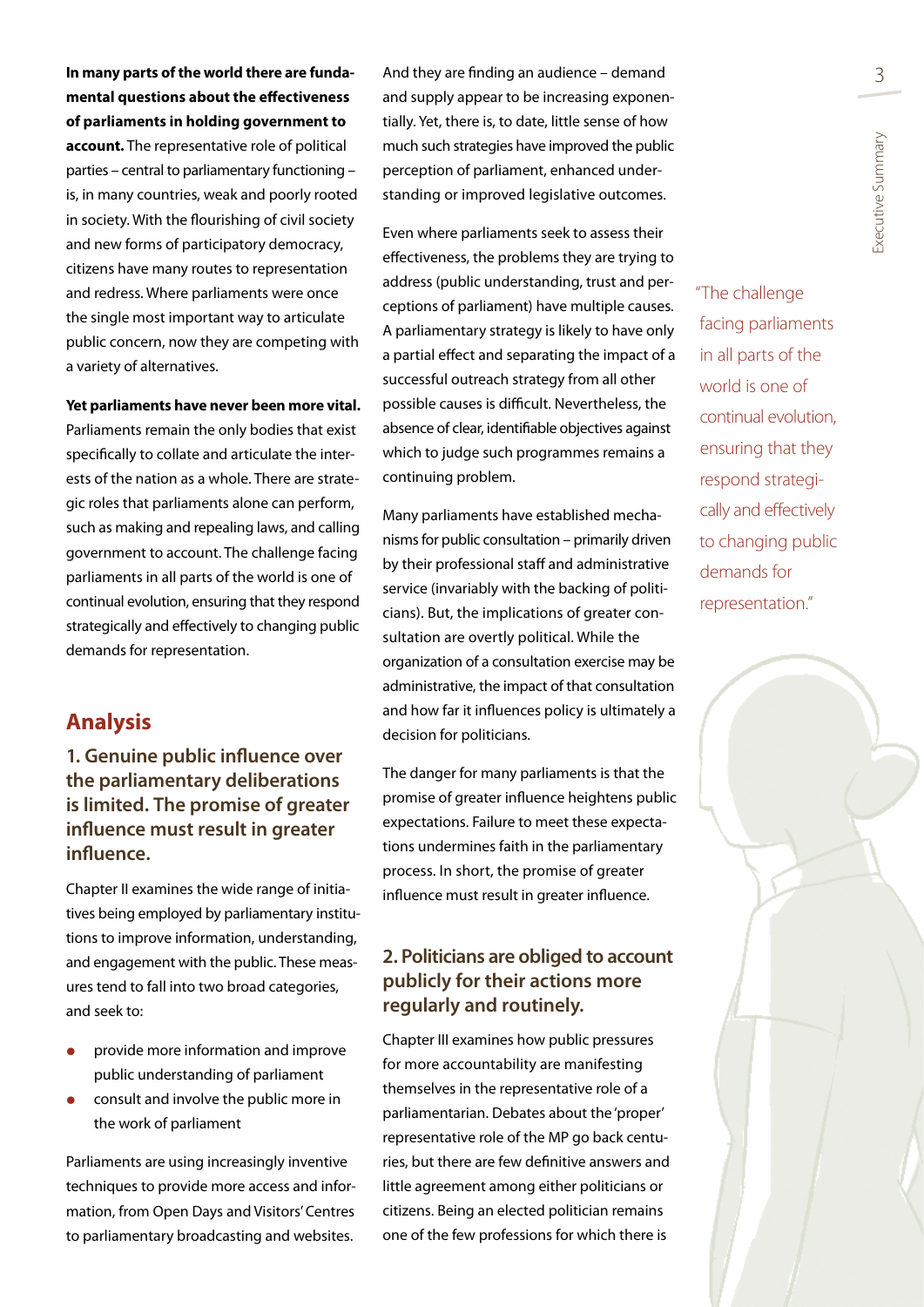xecutive Summary Executive Summary

**mental questions about the effectiveness of parliaments in holding government to account.** The representative role of political parties – central to parliamentary functioning – is, in many countries, weak and poorly rooted in society. With the flourishing of civil society and new forms of participatory democracy, citizens have many routes to representation and redress. Where parliaments were once the single most important way to articulate public concern, now they are competing with a variety of alternatives. **Yet parliaments have never been more vital.**

Parliaments remain the only bodies that exist specifically to collate and articulate the interests of the nation as a whole. There are strategic roles that parliaments alone can perform, such as making and repealing laws, and calling government to account. The challenge facing parliaments in all parts of the world is one of continual evolution, ensuring that they respond strategically and effectively to changing public demands for representation.

# **Analysis**

**1. Genuine public influence over the parliamentary deliberations is limited. The promise of greater influence must result in greater influence.**

Chapter II examines the wide range of initiatives being employed by parliamentary institutions to improve information, understanding, and engagement with the public. These measures tend to fall into two broad categories, and seek to:

- provide more information and improve public understanding of parliament
- **•** consult and involve the public more in the work of parliament

Parliaments are using increasingly inventive techniques to provide more access and information, from Open Days and Visitors' Centres to parliamentary broadcasting and websites.

**In many parts of the world there are funda-** And they are finding an audience – demand  $\frac{3}{3}$ And they are finding an audience – demand and supply appear to be increasing exponentially. Yet, there is, to date, little sense of how much such strategies have improved the public perception of parliament, enhanced understanding or improved legislative outcomes.

> Even where parliaments seek to assess their effectiveness, the problems they are trying to address (public understanding, trust and perceptions of parliament) have multiple causes. A parliamentary strategy is likely to have only a partial effect and separating the impact of a successful outreach strategy from all other possible causes is difficult. Nevertheless, the absence of clear, identifiable objectives against which to judge such programmes remains a continuing problem.

> Many parliaments have established mechanisms for public consultation – primarily driven by their professional staff and administrative service (invariably with the backing of politicians). But, the implications of greater consultation are overtly political. While the organization of a consultation exercise may be administrative, the impact of that consultation and how far it influences policy is ultimately a decision for politicians.

> The danger for many parliaments is that the promise of greater influence heightens public expectations. Failure to meet these expectations undermines faith in the parliamentary process. In short, the promise of greater influence must result in greater influence.

## **2. Politicians are obliged to account publicly for their actions more regularly and routinely.**

Chapter III examines how public pressures for more accountability are manifesting themselves in the representative role of a parliamentarian. Debates about the 'proper' representative role of the MP go back centuries, but there are few definitive answers and little agreement among either politicians or citizens. Being an elected politician remains one of the few professions for which there is

"The challenge facing parliaments in all parts of the world is one of continual evolution, ensuring that they respond strategically and effectively to changing public demands for representation."

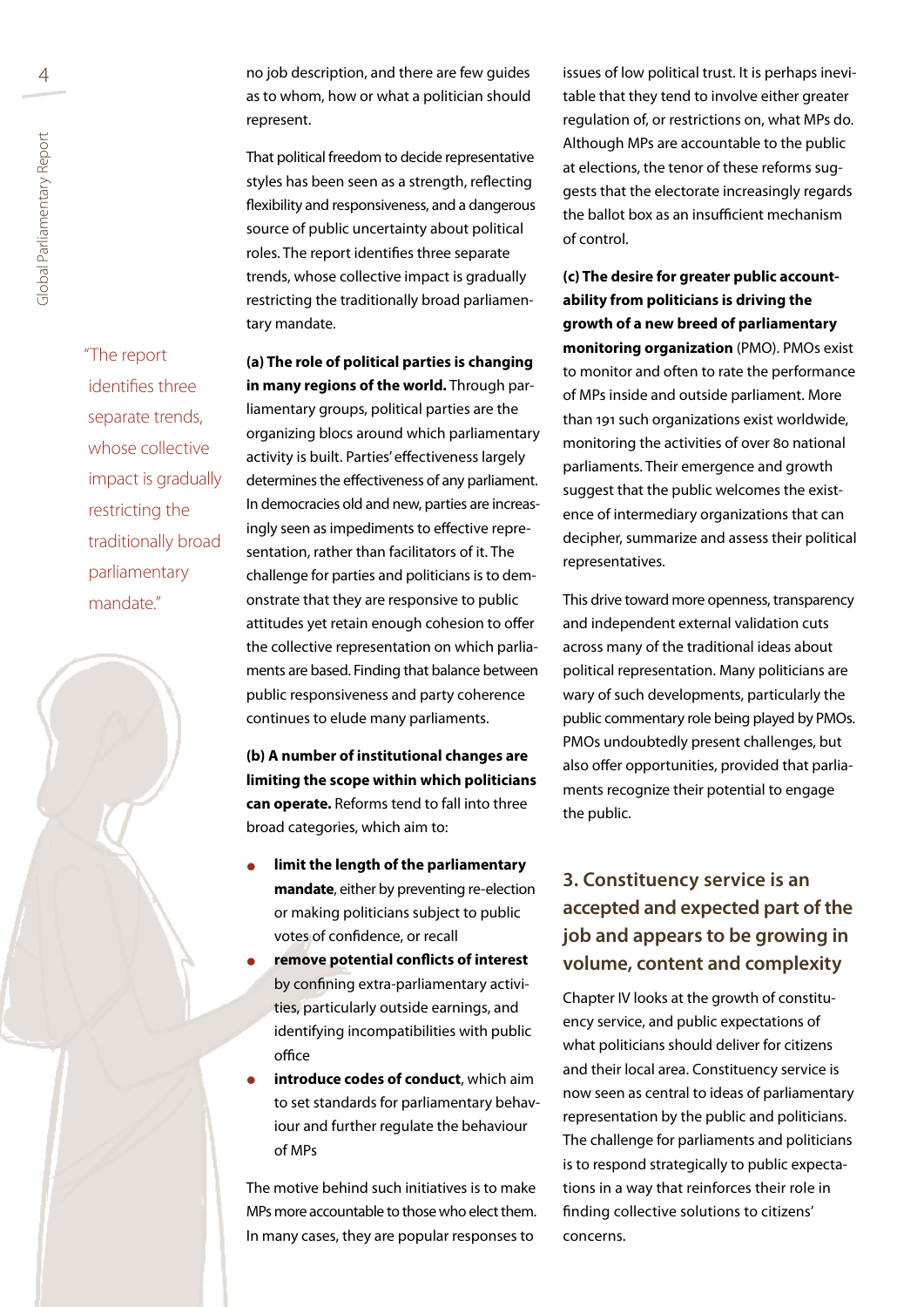4 no job description, and there are few guides as to whom, how or what a politician should represent.

> That political freedom to decide representative styles has been seen as a strength, reflecting flexibility and responsiveness, and a dangerous source of public uncertainty about political roles. The report identifies three separate trends, whose collective impact is gradually restricting the traditionally broad parliamentary mandate.

**(a) The role of political parties is changing in many regions of the world.** Through parliamentary groups, political parties are the organizing blocs around which parliamentary activity is built. Parties' effectiveness largely determines the effectiveness of any parliament. In democracies old and new, parties are increasingly seen as impediments to effective representation, rather than facilitators of it. The challenge for parties and politicians is to demonstrate that they are responsive to public attitudes yet retain enough cohesion to offer the collective representation on which parliaments are based. Finding that balance between public responsiveness and party coherence continues to elude many parliaments.

**(b) A number of institutional changes are limiting the scope within which politicians can operate.** Reforms tend to fall into three broad categories, which aim to:

- **limit the length of the parliamentary mandate**, either by preventing re-election or making politicians subject to public votes of confidence, or recall
- **remove potential conflicts of interest** by confining extra-parliamentary activities, particularly outside earnings, and identifying incompatibilities with public office
- **introduce codes of conduct**, which aim to set standards for parliamentary behaviour and further regulate the behaviour of MPs

The motive behind such initiatives is to make MPs more accountable to those who elect them. In many cases, they are popular responses to

issues of low political trust. It is perhaps inevitable that they tend to involve either greater regulation of, or restrictions on, what MPs do. Although MPs are accountable to the public at elections, the tenor of these reforms suggests that the electorate increasingly regards the ballot box as an insufficient mechanism of control.

**(c) The desire for greater public accountability from politicians is driving the growth of a new breed of parliamentary monitoring organization** (PMO). PMOs exist to monitor and often to rate the performance of MPs inside and outside parliament. More than 191 such organizations exist worldwide, monitoring the activities of over 80 national parliaments. Their emergence and growth suggest that the public welcomes the existence of intermediary organizations that can decipher, summarize and assess their political representatives.

This drive toward more openness, transparency and independent external validation cuts across many of the traditional ideas about political representation. Many politicians are wary of such developments, particularly the public commentary role being played by PMOs. PMOs undoubtedly present challenges, but also offer opportunities, provided that parliaments recognize their potential to engage the public.

# **3. Constituency service is an accepted and expected part of the job and appears to be growing in volume, content and complexity**

Chapter IV looks at the growth of constituency service, and public expectations of what politicians should deliver for citizens and their local area. Constituency service is now seen as central to ideas of parliamentary representation by the public and politicians. The challenge for parliaments and politicians is to respond strategically to public expectations in a way that reinforces their role in finding collective solutions to citizens' concerns.

"The report identifies three separate trends, whose collective impact is gradually restricting the traditionally broad parliamentary mandate."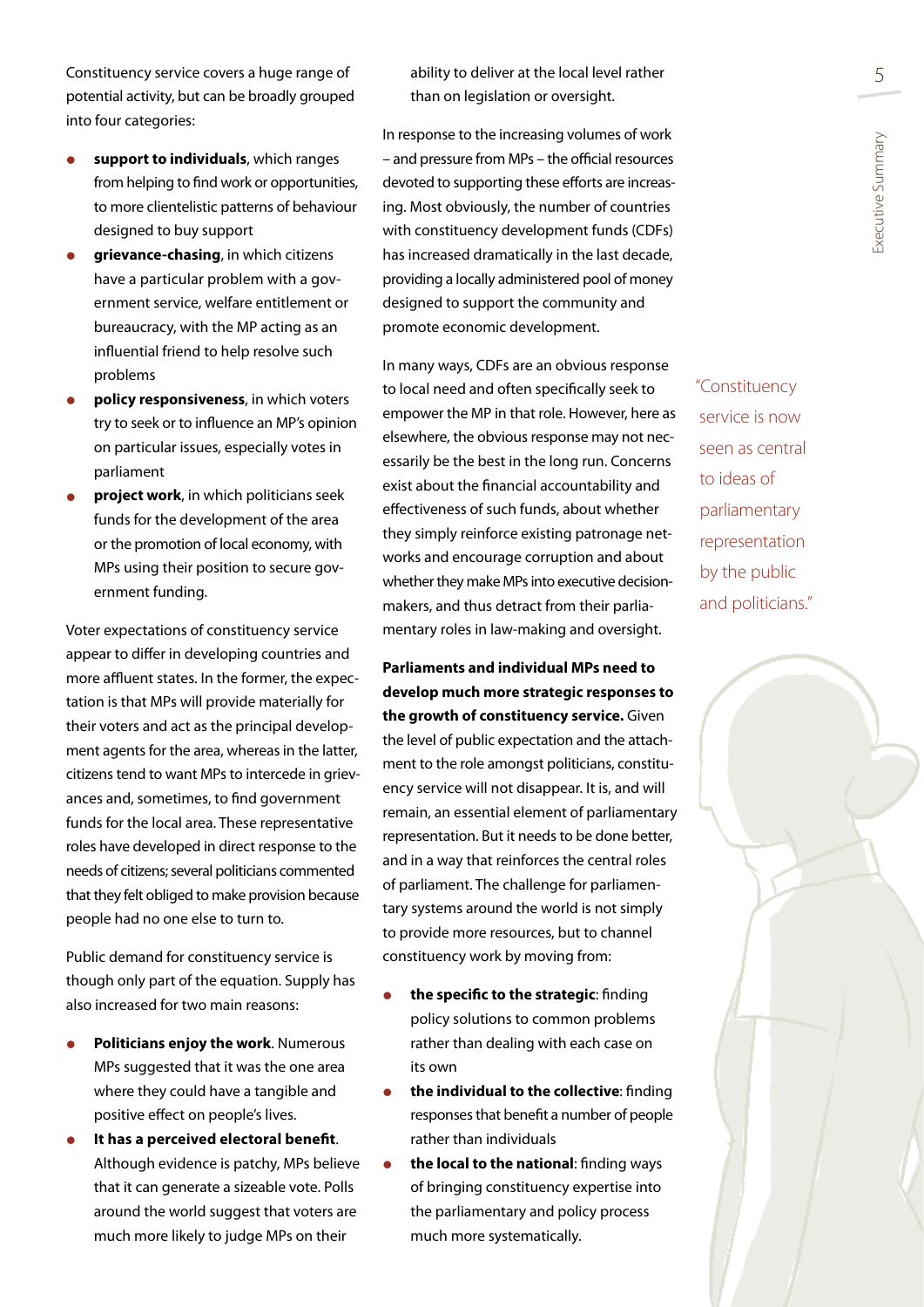Constituency service covers a huge range of  $\qquad \qquad$  ability to deliver at the local level rather  $\qquad \qquad 5$ potential activity, but can be broadly grouped into four categories:

- **•** support to individuals, which ranges from helping to find work or opportunities, to more clientelistic patterns of behaviour designed to buy support
- **e** grievance-chasing, in which citizens have a particular problem with a government service, welfare entitlement or bureaucracy, with the MP acting as an influential friend to help resolve such problems
- **policy responsiveness**, in which voters try to seek or to influence an MP's opinion on particular issues, especially votes in parliament
- **project work**, in which politicians seek funds for the development of the area or the promotion of local economy, with MPs using their position to secure government funding.

Voter expectations of constituency service appear to differ in developing countries and more affluent states. In the former, the expectation is that MPs will provide materially for their voters and act as the principal development agents for the area, whereas in the latter, citizens tend to want MPs to intercede in grievances and, sometimes, to find government funds for the local area. These representative roles have developed in direct response to the needs of citizens; several politicians commented that they felt obliged to make provision because people had no one else to turn to.

Public demand for constituency service is though only part of the equation. Supply has also increased for two main reasons:

- **Politicians enjoy the work**. Numerous MPs suggested that it was the one area where they could have a tangible and positive effect on people's lives.
- **It has a perceived electoral benefit**. Although evidence is patchy, MPs believe that it can generate a sizeable vote. Polls around the world suggest that voters are much more likely to judge MPs on their

ability to deliver at the local level rather than on legislation or oversight.

In response to the increasing volumes of work – and pressure from MPs – the official resources devoted to supporting these efforts are increasing. Most obviously, the number of countries with constituency development funds (CDFs) has increased dramatically in the last decade, providing a locally administered pool of money designed to support the community and promote economic development.

In many ways, CDFs are an obvious response to local need and often specifically seek to empower the MP in that role. However, here as elsewhere, the obvious response may not necessarily be the best in the long run. Concerns exist about the financial accountability and effectiveness of such funds, about whether they simply reinforce existing patronage networks and encourage corruption and about whether they make MPs into executive decisionmakers, and thus detract from their parliamentary roles in law-making and oversight.

**Parliaments and individual MPs need to develop much more strategic responses to the growth of constituency service.** Given the level of public expectation and the attachment to the role amongst politicians, constituency service will not disappear. It is, and will remain, an essential element of parliamentary representation. But it needs to be done better, and in a way that reinforces the central roles of parliament. The challenge for parliamentary systems around the world is not simply to provide more resources, but to channel constituency work by moving from:

- **the specific to the strategic:** finding policy solutions to common problems rather than dealing with each case on its own
- **the individual to the collective:** finding responses that benefit a number of people rather than individuals
- **the local to the national:** finding ways of bringing constituency expertise into the parliamentary and policy process much more systematically.

"Constituency service is now seen as central to ideas of parliamentary representation by the public and politicians."



Executive Summary

xecutive Summary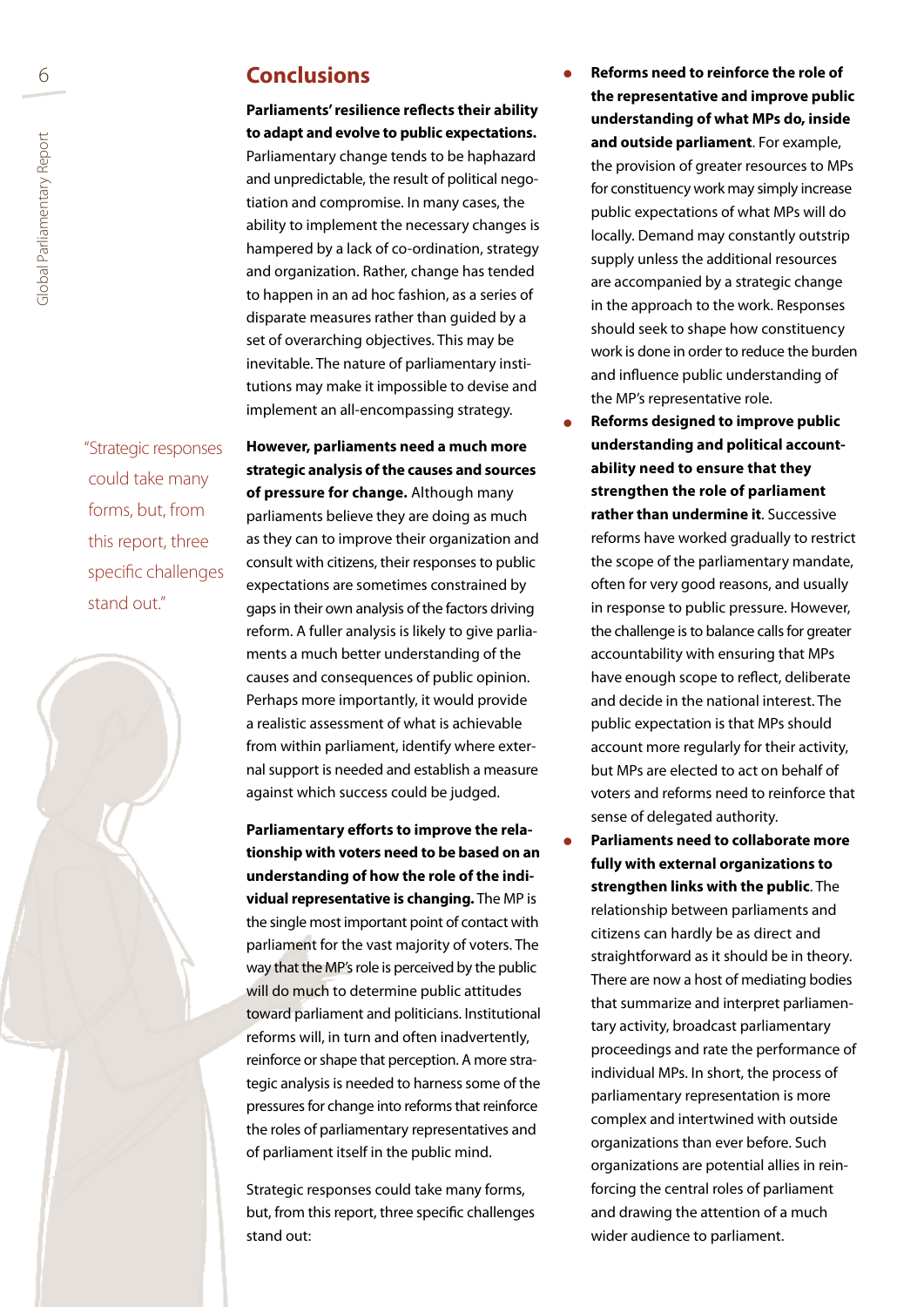# 6 **Conclusions**

**Parliaments' resilience reflects their ability to adapt and evolve to public expectations.**  Parliamentary change tends to be haphazard and unpredictable, the result of political negotiation and compromise. In many cases, the ability to implement the necessary changes is hampered by a lack of co-ordination, strategy and organization. Rather, change has tended to happen in an ad hoc fashion, as a series of disparate measures rather than guided by a set of overarching objectives. This may be inevitable. The nature of parliamentary institutions may make it impossible to devise and implement an all-encompassing strategy.

"Strategic responses could take many forms, but, from this report, three specific challenges stand out."



**However, parliaments need a much more strategic analysis of the causes and sources of pressure for change.** Although many parliaments believe they are doing as much as they can to improve their organization and consult with citizens, their responses to public expectations are sometimes constrained by gaps in their own analysis of the factors driving reform. A fuller analysis is likely to give parliaments a much better understanding of the causes and consequences of public opinion. Perhaps more importantly, it would provide a realistic assessment of what is achievable from within parliament, identify where external support is needed and establish a measure against which success could be judged.

**Parliamentary efforts to improve the relationship with voters need to be based on an understanding of how the role of the individual representative is changing.** The MP is the single most important point of contact with parliament for the vast majority of voters. The way that the MP's role is perceived by the public will do much to determine public attitudes toward parliament and politicians. Institutional reforms will, in turn and often inadvertently, reinforce or shape that perception. A more strategic analysis is needed to harness some of the pressures for change into reforms that reinforce the roles of parliamentary representatives and of parliament itself in the public mind.

Strategic responses could take many forms, but, from this report, three specific challenges stand out:

- **Reforms need to reinforce the role of the representative and improve public understanding of what MPs do, inside and outside parliament**. For example, the provision of greater resources to MPs for constituency work may simply increase public expectations of what MPs will do locally. Demand may constantly outstrip supply unless the additional resources are accompanied by a strategic change in the approach to the work. Responses should seek to shape how constituency work is done in order to reduce the burden and influence public understanding of the MP's representative role.
- **Reforms designed to improve public understanding and political accountability need to ensure that they strengthen the role of parliament rather than undermine it**. Successive reforms have worked gradually to restrict the scope of the parliamentary mandate, often for very good reasons, and usually in response to public pressure. However, the challenge is to balance calls for greater accountability with ensuring that MPs have enough scope to reflect, deliberate and decide in the national interest. The public expectation is that MPs should account more regularly for their activity, but MPs are elected to act on behalf of voters and reforms need to reinforce that sense of delegated authority.
- **Parliaments need to collaborate more fully with external organizations to strengthen links with the public**. The relationship between parliaments and citizens can hardly be as direct and straightforward as it should be in theory. There are now a host of mediating bodies that summarize and interpret parliamentary activity, broadcast parliamentary proceedings and rate the performance of individual MPs. In short, the process of parliamentary representation is more complex and intertwined with outside organizations than ever before. Such organizations are potential allies in reinforcing the central roles of parliament and drawing the attention of a much wider audience to parliament.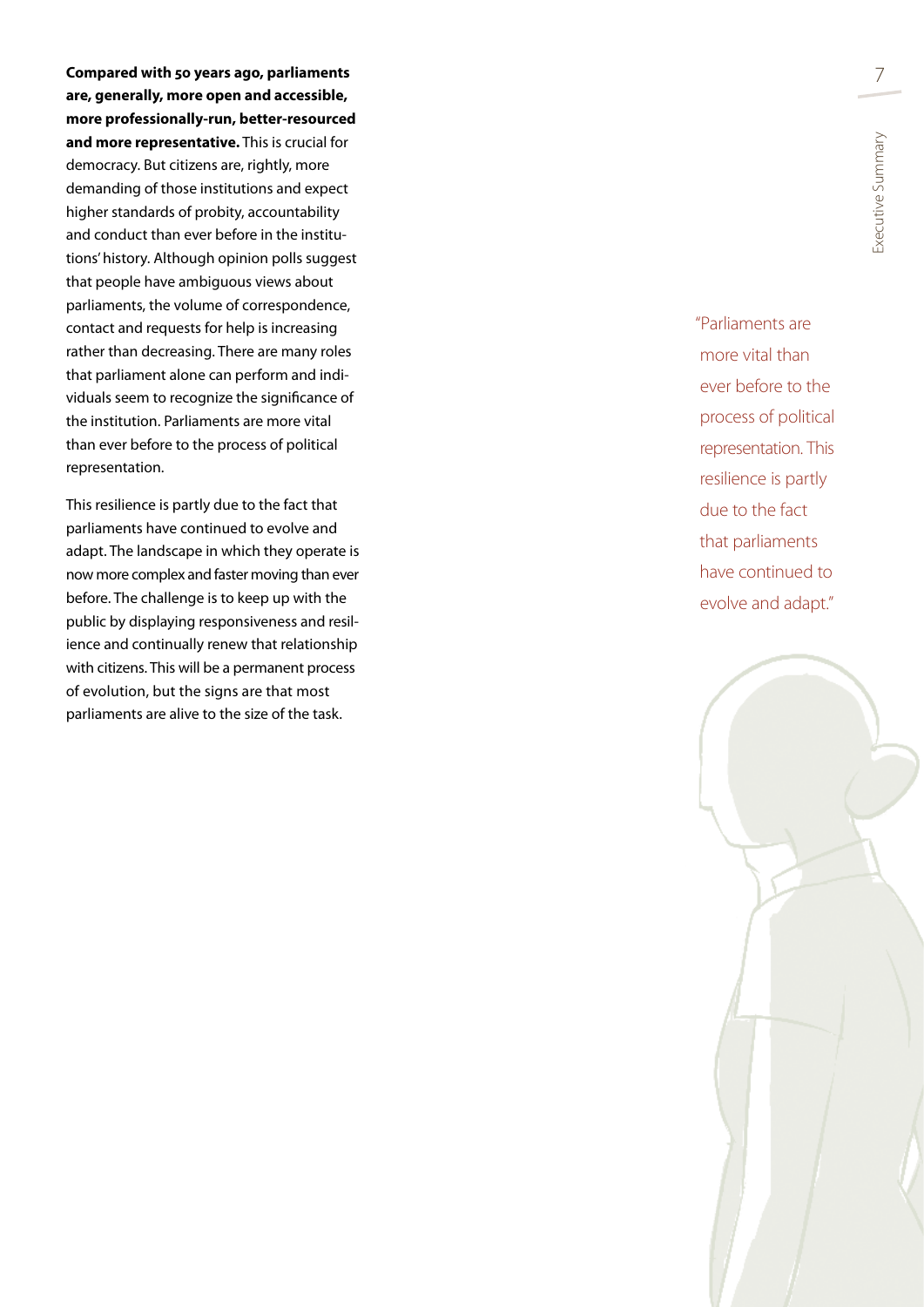**Compared with 50 years ago, parliaments are, generally, more open and accessible, more professionally-run, better-resourced and more representative.** This is crucial for democracy. But citizens are, rightly, more demanding of those institutions and expect higher standards of probity, accountability and conduct than ever before in the institu tions' history. Although opinion polls suggest that people have ambiguous views about parliaments, the volume of correspondence, contact and requests for help is increasing rather than decreasing. There are many roles that parliament alone can perform and indi viduals seem to recognize the significance of the institution. Parliaments are more vital than ever before to the process of political representation.

This resilience is partly due to the fact that parliaments have continued to evolve and adapt. The landscape in which they operate is now more complex and faster moving than ever before. The challenge is to keep up with the public by displaying responsiveness and resil ience and continually renew that relationship with citizens. This will be a permanent process of evolution, but the signs are that most parliaments are alive to the size of the task.

"Parliaments are more vital than ever before to the process of political representation. This resilience is partly due to the fact that parliaments have continued to evolve and adapt."